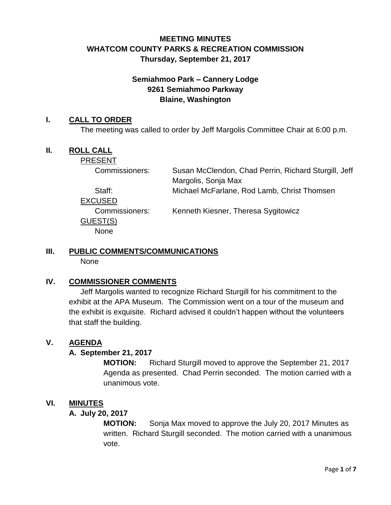# **MEETING MINUTES WHATCOM COUNTY PARKS & RECREATION COMMISSION Thursday, September 21, 2017**

# **Semiahmoo Park – Cannery Lodge 9261 Semiahmoo Parkway Blaine, Washington**

#### **I. CALL TO ORDER**

The meeting was called to order by Jeff Margolis Committee Chair at 6:00 p.m.

### **II. ROLL CALL**

PRESENT

Commissioners: Susan McClendon, Chad Perrin, Richard Sturgill, Jeff Margolis, Sonja Max Staff: Michael McFarlane, Rod Lamb, Christ Thomsen

EXCUSED

GUEST(S) None

Commissioners: Kenneth Kiesner, Theresa Sygitowicz

# **III. PUBLIC COMMENTS/COMMUNICATIONS**

None

# **IV. COMMISSIONER COMMENTS**

Jeff Margolis wanted to recognize Richard Sturgill for his commitment to the exhibit at the APA Museum. The Commission went on a tour of the museum and the exhibit is exquisite. Richard advised it couldn't happen without the volunteers that staff the building.

# **V. AGENDA**

# **A. September 21, 2017**

**MOTION:** Richard Sturgill moved to approve the September 21, 2017 Agenda as presented. Chad Perrin seconded. The motion carried with a unanimous vote.

# **VI. MINUTES**

#### **A. July 20, 2017**

**MOTION:** Sonja Max moved to approve the July 20, 2017 Minutes as written. Richard Sturgill seconded. The motion carried with a unanimous vote.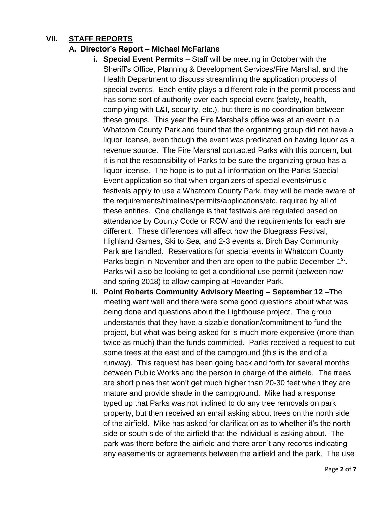# **VII. STAFF REPORTS**

### **A. Director's Report – Michael McFarlane**

- **i. Special Event Permits** Staff will be meeting in October with the Sheriff's Office, Planning & Development Services/Fire Marshal, and the Health Department to discuss streamlining the application process of special events. Each entity plays a different role in the permit process and has some sort of authority over each special event (safety, health, complying with L&I, security, etc.), but there is no coordination between these groups. This year the Fire Marshal's office was at an event in a Whatcom County Park and found that the organizing group did not have a liquor license, even though the event was predicated on having liquor as a revenue source. The Fire Marshal contacted Parks with this concern, but it is not the responsibility of Parks to be sure the organizing group has a liquor license. The hope is to put all information on the Parks Special Event application so that when organizers of special events/music festivals apply to use a Whatcom County Park, they will be made aware of the requirements/timelines/permits/applications/etc. required by all of these entities. One challenge is that festivals are regulated based on attendance by County Code or RCW and the requirements for each are different. These differences will affect how the Bluegrass Festival, Highland Games, Ski to Sea, and 2-3 events at Birch Bay Community Park are handled. Reservations for special events in Whatcom County Parks begin in November and then are open to the public December 1<sup>st</sup>. Parks will also be looking to get a conditional use permit (between now and spring 2018) to allow camping at Hovander Park.
- **ii. Point Roberts Community Advisory Meeting – September 12** –The meeting went well and there were some good questions about what was being done and questions about the Lighthouse project. The group understands that they have a sizable donation/commitment to fund the project, but what was being asked for is much more expensive (more than twice as much) than the funds committed. Parks received a request to cut some trees at the east end of the campground (this is the end of a runway). This request has been going back and forth for several months between Public Works and the person in charge of the airfield. The trees are short pines that won't get much higher than 20-30 feet when they are mature and provide shade in the campground. Mike had a response typed up that Parks was not inclined to do any tree removals on park property, but then received an email asking about trees on the north side of the airfield. Mike has asked for clarification as to whether it's the north side or south side of the airfield that the individual is asking about. The park was there before the airfield and there aren't any records indicating any easements or agreements between the airfield and the park. The use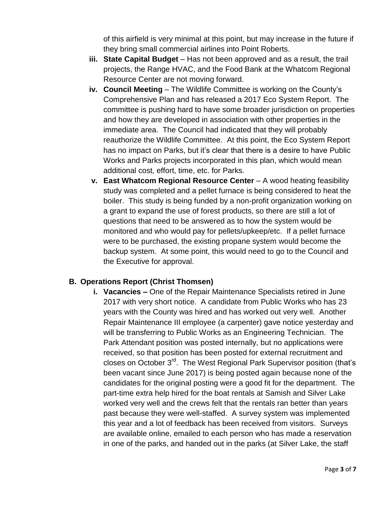of this airfield is very minimal at this point, but may increase in the future if they bring small commercial airlines into Point Roberts.

- **iii.** State Capital Budget Has not been approved and as a result, the trail projects, the Range HVAC, and the Food Bank at the Whatcom Regional Resource Center are not moving forward.
- **iv. Council Meeting** The Wildlife Committee is working on the County's Comprehensive Plan and has released a 2017 Eco System Report. The committee is pushing hard to have some broader jurisdiction on properties and how they are developed in association with other properties in the immediate area. The Council had indicated that they will probably reauthorize the Wildlife Committee. At this point, the Eco System Report has no impact on Parks, but it's clear that there is a desire to have Public Works and Parks projects incorporated in this plan, which would mean additional cost, effort, time, etc. for Parks.
- **v. East Whatcom Regional Resource Center** A wood heating feasibility study was completed and a pellet furnace is being considered to heat the boiler. This study is being funded by a non-profit organization working on a grant to expand the use of forest products, so there are still a lot of questions that need to be answered as to how the system would be monitored and who would pay for pellets/upkeep/etc. If a pellet furnace were to be purchased, the existing propane system would become the backup system. At some point, this would need to go to the Council and the Executive for approval.

# **B. Operations Report (Christ Thomsen)**

**i. Vacancies –** One of the Repair Maintenance Specialists retired in June 2017 with very short notice. A candidate from Public Works who has 23 years with the County was hired and has worked out very well. Another Repair Maintenance III employee (a carpenter) gave notice yesterday and will be transferring to Public Works as an Engineering Technician. The Park Attendant position was posted internally, but no applications were received, so that position has been posted for external recruitment and closes on October 3rd. The West Regional Park Supervisor position (that's been vacant since June 2017) is being posted again because none of the candidates for the original posting were a good fit for the department. The part-time extra help hired for the boat rentals at Samish and Silver Lake worked very well and the crews felt that the rentals ran better than years past because they were well-staffed. A survey system was implemented this year and a lot of feedback has been received from visitors. Surveys are available online, emailed to each person who has made a reservation in one of the parks, and handed out in the parks (at Silver Lake, the staff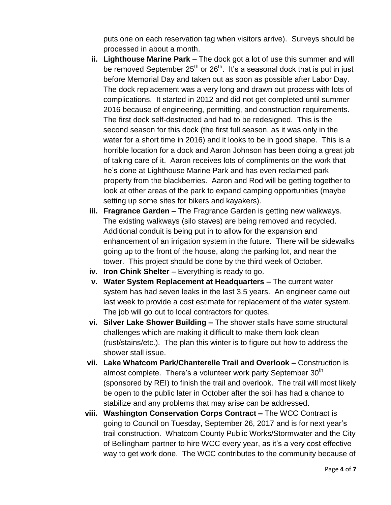puts one on each reservation tag when visitors arrive). Surveys should be processed in about a month.

- **ii.** Lighthouse Marine Park The dock got a lot of use this summer and will be removed September  $25<sup>th</sup>$  or  $26<sup>th</sup>$ . It's a seasonal dock that is put in just before Memorial Day and taken out as soon as possible after Labor Day. The dock replacement was a very long and drawn out process with lots of complications. It started in 2012 and did not get completed until summer 2016 because of engineering, permitting, and construction requirements. The first dock self-destructed and had to be redesigned. This is the second season for this dock (the first full season, as it was only in the water for a short time in 2016) and it looks to be in good shape. This is a horrible location for a dock and Aaron Johnson has been doing a great job of taking care of it. Aaron receives lots of compliments on the work that he's done at Lighthouse Marine Park and has even reclaimed park property from the blackberries. Aaron and Rod will be getting together to look at other areas of the park to expand camping opportunities (maybe setting up some sites for bikers and kayakers).
- **iii. Fragrance Garden** The Fragrance Garden is getting new walkways. The existing walkways (silo staves) are being removed and recycled. Additional conduit is being put in to allow for the expansion and enhancement of an irrigation system in the future. There will be sidewalks going up to the front of the house, along the parking lot, and near the tower. This project should be done by the third week of October.
- **iv. Iron Chink Shelter –** Everything is ready to go.
- **v. Water System Replacement at Headquarters –** The current water system has had seven leaks in the last 3.5 years. An engineer came out last week to provide a cost estimate for replacement of the water system. The job will go out to local contractors for quotes.
- **vi. Silver Lake Shower Building –** The shower stalls have some structural challenges which are making it difficult to make them look clean (rust/stains/etc.). The plan this winter is to figure out how to address the shower stall issue.
- **vii. Lake Whatcom Park/Chanterelle Trail and Overlook –** Construction is almost complete. There's a volunteer work party September  $30<sup>th</sup>$ (sponsored by REI) to finish the trail and overlook. The trail will most likely be open to the public later in October after the soil has had a chance to stabilize and any problems that may arise can be addressed.
- **viii. Washington Conservation Corps Contract –** The WCC Contract is going to Council on Tuesday, September 26, 2017 and is for next year's trail construction. Whatcom County Public Works/Stormwater and the City of Bellingham partner to hire WCC every year, as it's a very cost effective way to get work done. The WCC contributes to the community because of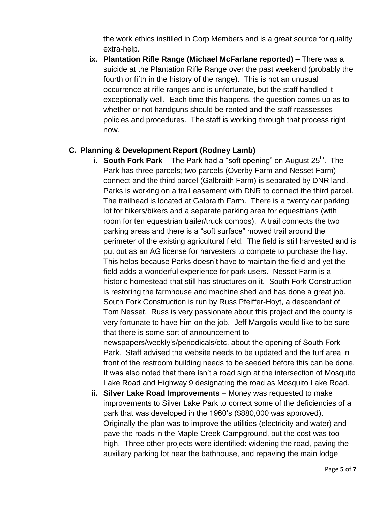the work ethics instilled in Corp Members and is a great source for quality extra-help.

**ix. Plantation Rifle Range (Michael McFarlane reported) –** There was a suicide at the Plantation Rifle Range over the past weekend (probably the fourth or fifth in the history of the range). This is not an unusual occurrence at rifle ranges and is unfortunate, but the staff handled it exceptionally well. Each time this happens, the question comes up as to whether or not handguns should be rented and the staff reassesses policies and procedures. The staff is working through that process right now.

#### **C. Planning & Development Report (Rodney Lamb)**

- **i. South Fork Park** The Park had a "soft opening" on August 25<sup>th</sup>. The Park has three parcels; two parcels (Overby Farm and Nesset Farm) connect and the third parcel (Galbraith Farm) is separated by DNR land. Parks is working on a trail easement with DNR to connect the third parcel. The trailhead is located at Galbraith Farm. There is a twenty car parking lot for hikers/bikers and a separate parking area for equestrians (with room for ten equestrian trailer/truck combos). A trail connects the two parking areas and there is a "soft surface" mowed trail around the perimeter of the existing agricultural field. The field is still harvested and is put out as an AG license for harvesters to compete to purchase the hay. This helps because Parks doesn't have to maintain the field and yet the field adds a wonderful experience for park users. Nesset Farm is a historic homestead that still has structures on it. South Fork Construction is restoring the farmhouse and machine shed and has done a great job. South Fork Construction is run by Russ Pfeiffer-Hoyt, a descendant of Tom Nesset. Russ is very passionate about this project and the county is very fortunate to have him on the job. Jeff Margolis would like to be sure that there is some sort of announcement to newspapers/weekly's/periodicals/etc. about the opening of South Fork Park. Staff advised the website needs to be updated and the turf area in front of the restroom building needs to be seeded before this can be done. It was also noted that there isn't a road sign at the intersection of Mosquito Lake Road and Highway 9 designating the road as Mosquito Lake Road.
- **ii. Silver Lake Road Improvements** Money was requested to make improvements to Silver Lake Park to correct some of the deficiencies of a park that was developed in the 1960's (\$880,000 was approved). Originally the plan was to improve the utilities (electricity and water) and pave the roads in the Maple Creek Campground, but the cost was too high. Three other projects were identified: widening the road, paving the auxiliary parking lot near the bathhouse, and repaving the main lodge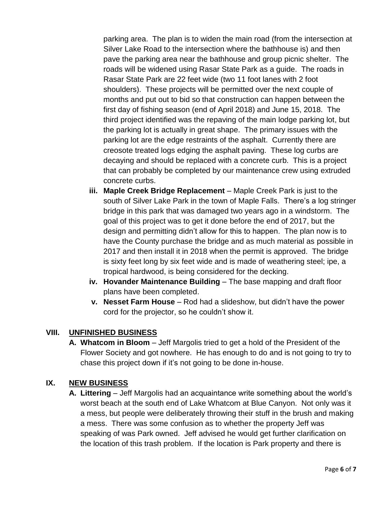parking area. The plan is to widen the main road (from the intersection at Silver Lake Road to the intersection where the bathhouse is) and then pave the parking area near the bathhouse and group picnic shelter. The roads will be widened using Rasar State Park as a guide. The roads in Rasar State Park are 22 feet wide (two 11 foot lanes with 2 foot shoulders). These projects will be permitted over the next couple of months and put out to bid so that construction can happen between the first day of fishing season (end of April 2018) and June 15, 2018. The third project identified was the repaving of the main lodge parking lot, but the parking lot is actually in great shape. The primary issues with the parking lot are the edge restraints of the asphalt. Currently there are creosote treated logs edging the asphalt paving. These log curbs are decaying and should be replaced with a concrete curb. This is a project that can probably be completed by our maintenance crew using extruded concrete curbs.

- **iii. Maple Creek Bridge Replacement** Maple Creek Park is just to the south of Silver Lake Park in the town of Maple Falls. There's a log stringer bridge in this park that was damaged two years ago in a windstorm. The goal of this project was to get it done before the end of 2017, but the design and permitting didn't allow for this to happen. The plan now is to have the County purchase the bridge and as much material as possible in 2017 and then install it in 2018 when the permit is approved. The bridge is sixty feet long by six feet wide and is made of weathering steel; ipe, a tropical hardwood, is being considered for the decking.
- **iv. Hovander Maintenance Building** The base mapping and draft floor plans have been completed.
- **v. Nesset Farm House** Rod had a slideshow, but didn't have the power cord for the projector, so he couldn't show it.

# **VIII. UNFINISHED BUSINESS**

**A. Whatcom in Bloom** – Jeff Margolis tried to get a hold of the President of the Flower Society and got nowhere. He has enough to do and is not going to try to chase this project down if it's not going to be done in-house.

# **IX. NEW BUSINESS**

**A. Littering** – Jeff Margolis had an acquaintance write something about the world's worst beach at the south end of Lake Whatcom at Blue Canyon. Not only was it a mess, but people were deliberately throwing their stuff in the brush and making a mess. There was some confusion as to whether the property Jeff was speaking of was Park owned. Jeff advised he would get further clarification on the location of this trash problem. If the location is Park property and there is